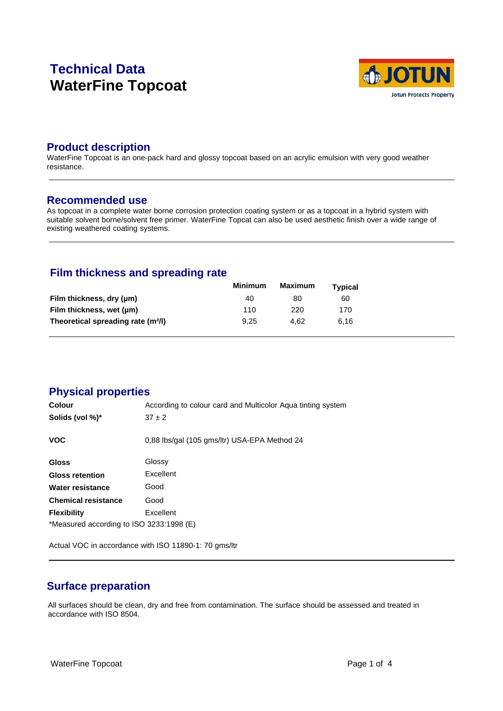# **Technical Data WaterFine Topcoat**



### **Product description**

WaterFine Topcoat is an one-pack hard and glossy topcoat based on an acrylic emulsion with very good weather resistance.

#### **Recommended use**

As topcoat in a complete water borne corrosion protection coating system or as a topcoat in a hybrid system with suitable solvent borne/solvent free primer. WaterFine Topcat can also be used aesthetic finish over a wide range of existing weathered coating systems.

# **Film thickness and spreading rate**

|                                                | Minimum | Maximum | Typical |  |
|------------------------------------------------|---------|---------|---------|--|
| Film thickness, dry (µm)                       | 40      | 80      | 60      |  |
| Film thickness, wet (µm)                       | 110     | 220     | 170     |  |
| Theoretical spreading rate (m <sup>2</sup> /l) | 9.25    | 4.62    | 6.16    |  |

# **Physical properties**

| <b>Colour</b>                            | According to colour card and Multicolor Agua tinting system |  |  |  |
|------------------------------------------|-------------------------------------------------------------|--|--|--|
| Solids (vol %)*                          | $37 \pm 2$                                                  |  |  |  |
| <b>VOC</b>                               | 0,88 lbs/gal (105 gms/ltr) USA-EPA Method 24                |  |  |  |
| <b>Gloss</b>                             | Glossy                                                      |  |  |  |
| <b>Gloss retention</b>                   | Excellent                                                   |  |  |  |
| Water resistance                         | Good                                                        |  |  |  |
| <b>Chemical resistance</b>               | Good                                                        |  |  |  |
| <b>Flexibility</b>                       | Excellent                                                   |  |  |  |
| *Measured according to ISO 3233:1998 (E) |                                                             |  |  |  |

Actual VOC in accordance with ISO 11890-1: 70 gms/ltr

# **Surface preparation**

All surfaces should be clean, dry and free from contamination. The surface should be assessed and treated in accordance with ISO 8504.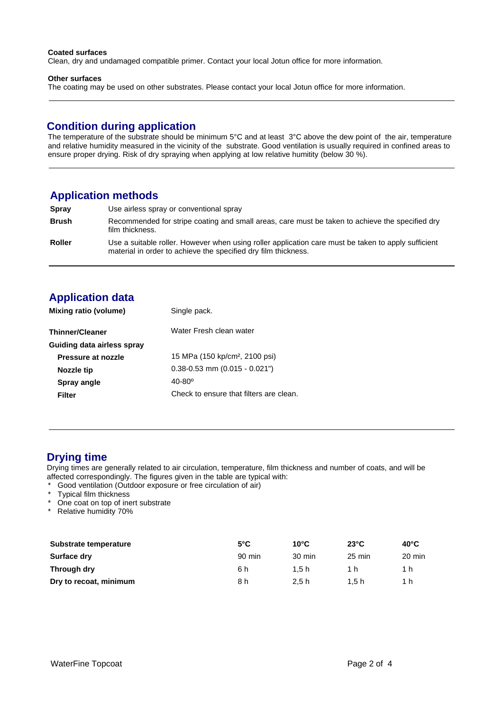#### **Coated surfaces**

Clean, dry and undamaged compatible primer. Contact your local Jotun office for more information.

#### **Other surfaces**

The coating may be used on other substrates. Please contact your local Jotun office for more information.

### **Condition during application**

The temperature of the substrate should be minimum 5°C and at least 3°C above the dew point of the air, temperature and relative humidity measured in the vicinity of the substrate. Good ventilation is usually required in confined areas to ensure proper drying. Risk of dry spraying when applying at low relative humitity (below 30 %).

### **Application methods**

| Spray         | Use airless spray or conventional spray                                                                                                                               |
|---------------|-----------------------------------------------------------------------------------------------------------------------------------------------------------------------|
| <b>Brush</b>  | Recommended for stripe coating and small areas, care must be taken to achieve the specified dry<br>film thickness.                                                    |
| <b>Roller</b> | Use a suitable roller. However when using roller application care must be taken to apply sufficient<br>material in order to achieve the specified dry film thickness. |

# **Application data**

| Water Fresh clean water<br><b>Thinner/Cleaner</b><br>Guiding data airless spray<br>15 MPa (150 kp/cm <sup>2</sup> , 2100 psi)<br>Pressure at nozzle<br>$0.38 - 0.53$ mm $(0.015 - 0.021)$<br>Nozzle tip<br>$40 - 80^{\circ}$<br>Spray angle<br>Check to ensure that filters are clean.<br>Filter | Mixing ratio (volume) | Single pack. |  |
|--------------------------------------------------------------------------------------------------------------------------------------------------------------------------------------------------------------------------------------------------------------------------------------------------|-----------------------|--------------|--|
|                                                                                                                                                                                                                                                                                                  |                       |              |  |
|                                                                                                                                                                                                                                                                                                  |                       |              |  |
|                                                                                                                                                                                                                                                                                                  |                       |              |  |
|                                                                                                                                                                                                                                                                                                  |                       |              |  |
|                                                                                                                                                                                                                                                                                                  |                       |              |  |
|                                                                                                                                                                                                                                                                                                  |                       |              |  |

#### **Drying time**

Drying times are generally related to air circulation, temperature, film thickness and number of coats, and will be affected correspondingly. The figures given in the table are typical with:

- \* Good ventilation (Outdoor exposure or free circulation of air)<br>\* Typical film thickness
- Typical film thickness
- One coat on top of inert substrate
- \* Relative humidity 70%

| Substrate temperature  | $5^{\circ}$ C | $10^{\circ}$ C   | $23^{\circ}$ C   | $40^{\circ}$ C |
|------------------------|---------------|------------------|------------------|----------------|
| Surface dry            | 90 min        | $30 \text{ min}$ | $25 \text{ min}$ | 20 min         |
| Through dry            | 6 h           | 1.5h             | 1 h              | 1 h            |
| Dry to recoat, minimum | 8 h           | 2.5h             | 1.5h             | 1 h            |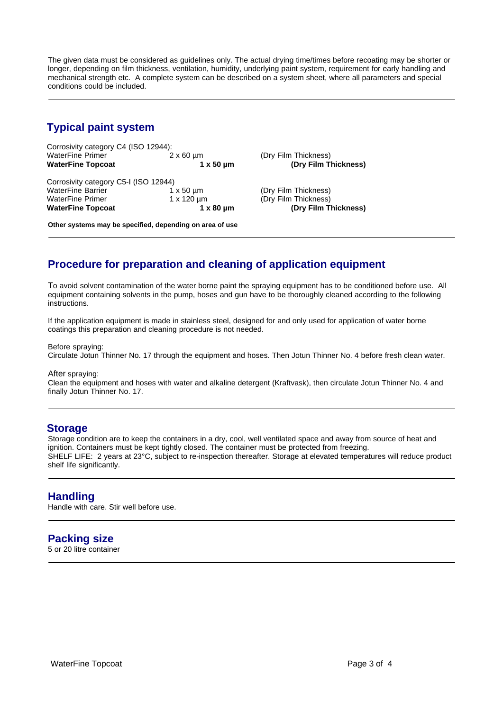The given data must be considered as guidelines only. The actual drying time/times before recoating may be shorter or longer, depending on film thickness, ventilation, humidity, underlying paint system, requirement for early handling and mechanical strength etc. A complete system can be described on a system sheet, where all parameters and special conditions could be included.

# **Typical paint system**

Corrosivity category C4 (ISO 12944):<br>WaterFine Primer 2 x 60 um WaterFine Primer  $2 \times 60 \mu m$  (Dry Film Thickness)<br>
WaterFine Topcoat 1x 50 um (Dry Film T

Corrosivity category C5-I (ISO 12944)<br>WaterFine Barrier 1 x 50 µm WaterFine Barrier 1 x 50 µm (Dry Film Thickness)<br>
WaterFine Primer 1 x 120 µm (Dry Film Thickness) WaterFine Primer 1 x 120 µm (Dry Film Thickness)<br> **WaterFine Topcoat** 1 x 80 µm (Dry Film T

**(Dry Film Thickness)** 

1 x 80 µm **(Dry Film Thickness)** 

**Other systems may be specified, depending on area of use**

# **Procedure for preparation and cleaning of application equipment**

To avoid solvent contamination of the water borne paint the spraying equipment has to be conditioned before use. All equipment containing solvents in the pump, hoses and gun have to be thoroughly cleaned according to the following instructions.

If the application equipment is made in stainless steel, designed for and only used for application of water borne coatings this preparation and cleaning procedure is not needed.

Before spraying: Circulate Jotun Thinner No. 17 through the equipment and hoses. Then Jotun Thinner No. 4 before fresh clean water.

After spraying:

Clean the equipment and hoses with water and alkaline detergent (Kraftvask), then circulate Jotun Thinner No. 4 and finally Jotun Thinner No. 17.

#### **Storage**

Storage condition are to keep the containers in a dry, cool, well ventilated space and away from source of heat and ignition. Containers must be kept tightly closed. The container must be protected from freezing. SHELF LIFE: 2 years at 23°C, subject to re-inspection thereafter. Storage at elevated temperatures will reduce product shelf life significantly.

#### **Handling**

Handle with care. Stir well before use.

# **Packing size**

5 or 20 litre container